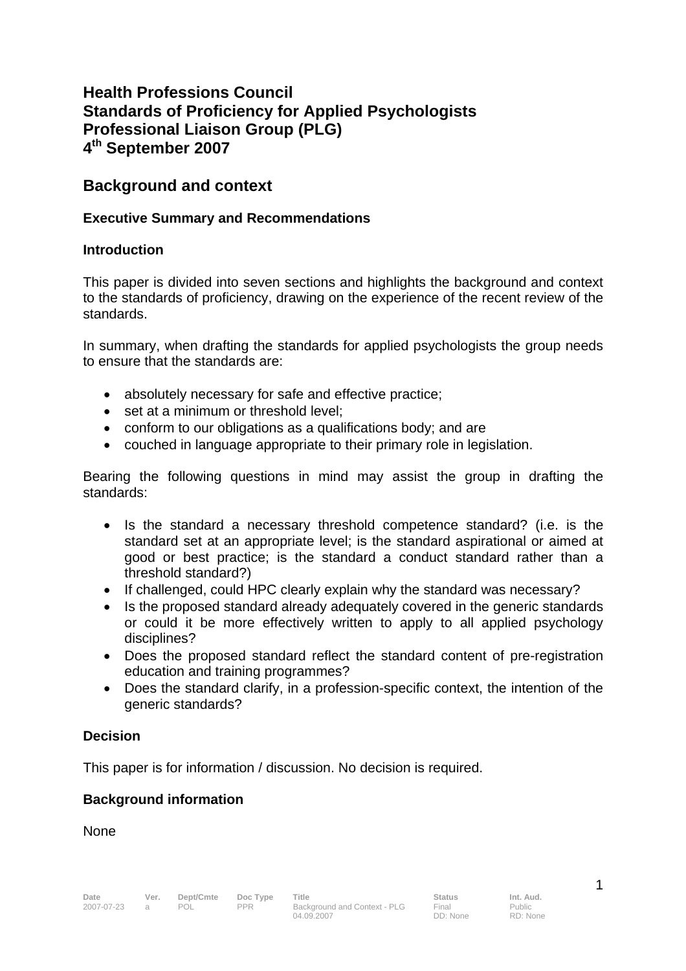# **Health Professions Council Standards of Proficiency for Applied Psychologists Professional Liaison Group (PLG) 4th September 2007**

# **Background and context**

### **Executive Summary and Recommendations**

### **Introduction**

This paper is divided into seven sections and highlights the background and context to the standards of proficiency, drawing on the experience of the recent review of the standards.

In summary, when drafting the standards for applied psychologists the group needs to ensure that the standards are:

- absolutely necessary for safe and effective practice;
- set at a minimum or threshold level:
- conform to our obligations as a qualifications body; and are
- couched in language appropriate to their primary role in legislation.

Bearing the following questions in mind may assist the group in drafting the standards:

- Is the standard a necessary threshold competence standard? (i.e. is the standard set at an appropriate level; is the standard aspirational or aimed at good or best practice; is the standard a conduct standard rather than a threshold standard?)
- If challenged, could HPC clearly explain why the standard was necessary?
- Is the proposed standard already adequately covered in the generic standards or could it be more effectively written to apply to all applied psychology disciplines?
- Does the proposed standard reflect the standard content of pre-registration education and training programmes?
- Does the standard clarify, in a profession-specific context, the intention of the generic standards?

# **Decision**

This paper is for information / discussion. No decision is required.

### **Background information**

**None**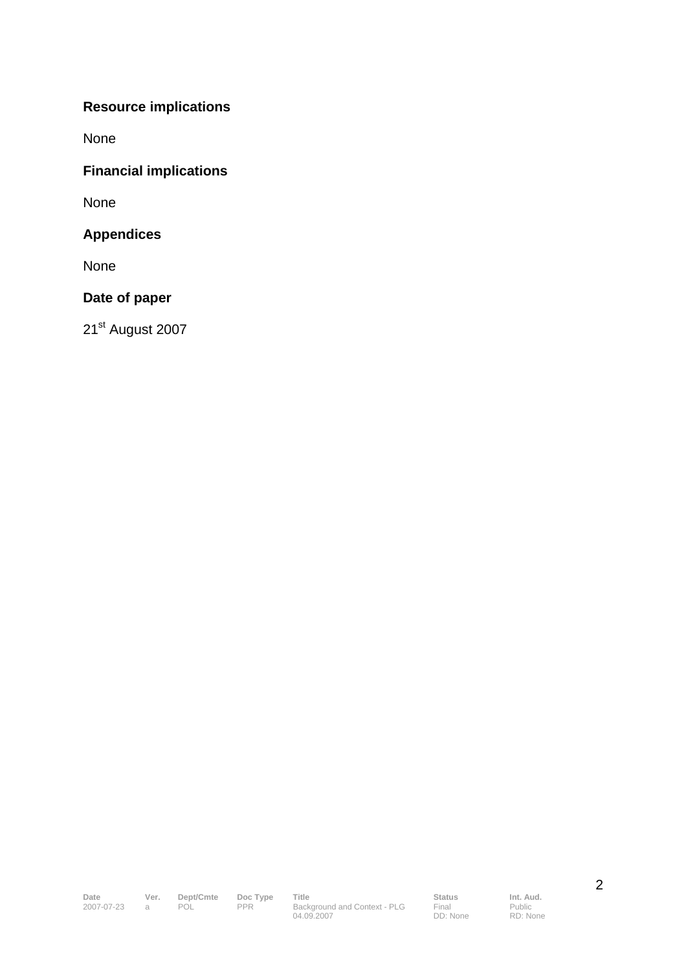# **Resource implications**

None

# **Financial implications**

None

# **Appendices**

None

### **Date of paper**

21st August 2007

Final DD: None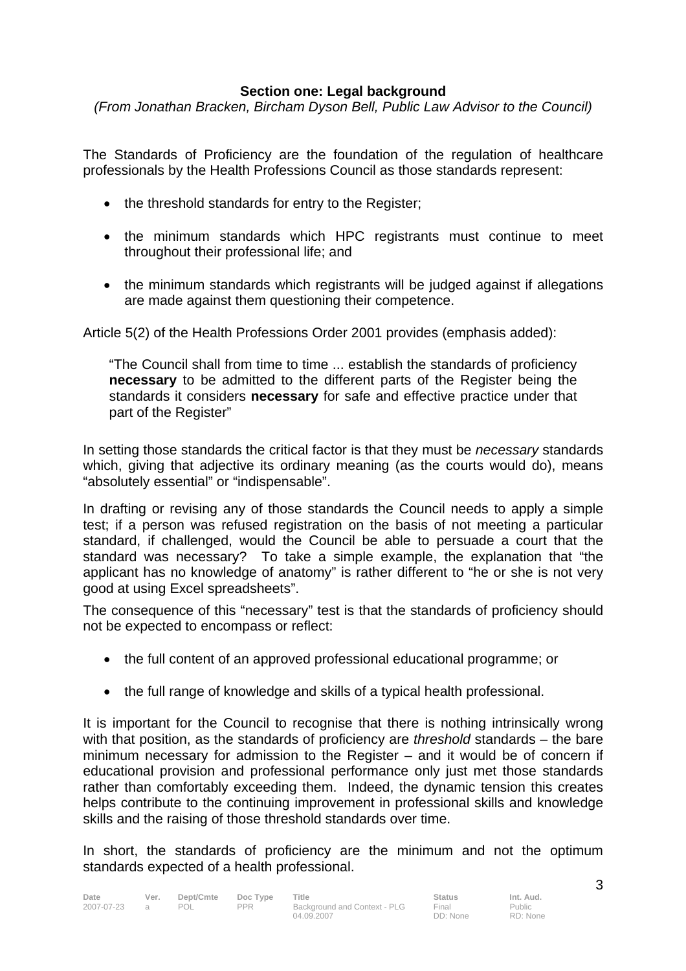### **Section one: Legal background**

*(From Jonathan Bracken, Bircham Dyson Bell, Public Law Advisor to the Council)* 

The Standards of Proficiency are the foundation of the regulation of healthcare professionals by the Health Professions Council as those standards represent:

- the threshold standards for entry to the Register;
- the minimum standards which HPC registrants must continue to meet throughout their professional life; and
- the minimum standards which registrants will be judged against if allegations are made against them questioning their competence.

Article 5(2) of the Health Professions Order 2001 provides (emphasis added):

"The Council shall from time to time ... establish the standards of proficiency **necessary** to be admitted to the different parts of the Register being the standards it considers **necessary** for safe and effective practice under that part of the Register"

In setting those standards the critical factor is that they must be *necessary* standards which, giving that adjective its ordinary meaning (as the courts would do), means "absolutely essential" or "indispensable".

In drafting or revising any of those standards the Council needs to apply a simple test; if a person was refused registration on the basis of not meeting a particular standard, if challenged, would the Council be able to persuade a court that the standard was necessary? To take a simple example, the explanation that "the applicant has no knowledge of anatomy" is rather different to "he or she is not very good at using Excel spreadsheets".

The consequence of this "necessary" test is that the standards of proficiency should not be expected to encompass or reflect:

- the full content of an approved professional educational programme; or
- the full range of knowledge and skills of a typical health professional.

It is important for the Council to recognise that there is nothing intrinsically wrong with that position, as the standards of proficiency are *threshold* standards – the bare minimum necessary for admission to the Register – and it would be of concern if educational provision and professional performance only just met those standards rather than comfortably exceeding them. Indeed, the dynamic tension this creates helps contribute to the continuing improvement in professional skills and knowledge skills and the raising of those threshold standards over time.

In short, the standards of proficiency are the minimum and not the optimum standards expected of a health professional.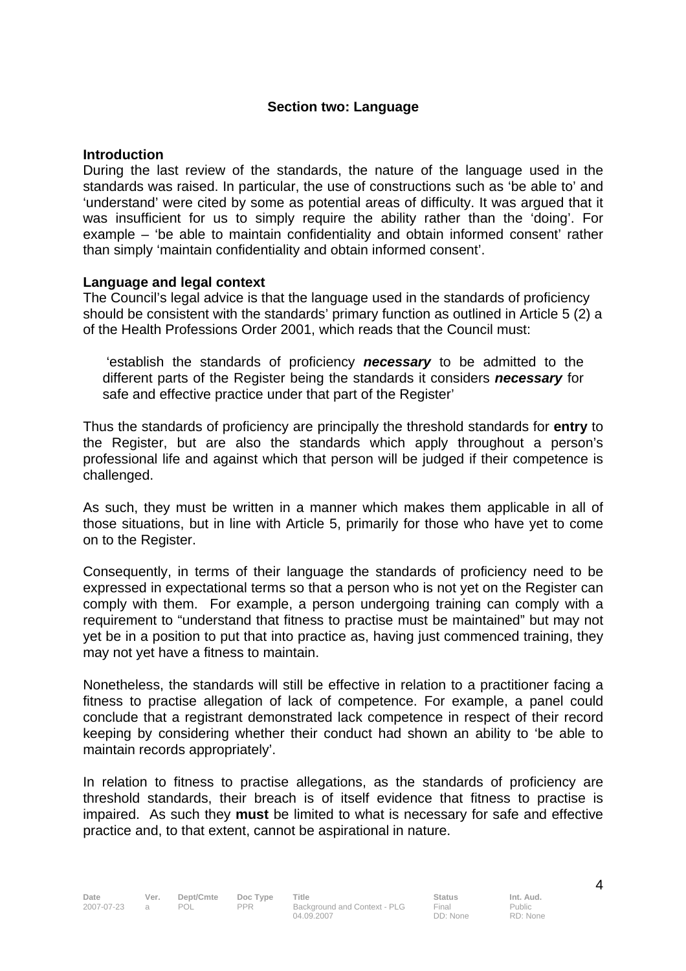#### **Section two: Language**

#### **Introduction**

During the last review of the standards, the nature of the language used in the standards was raised. In particular, the use of constructions such as 'be able to' and 'understand' were cited by some as potential areas of difficulty. It was argued that it was insufficient for us to simply require the ability rather than the 'doing'. For example – 'be able to maintain confidentiality and obtain informed consent' rather than simply 'maintain confidentiality and obtain informed consent'.

#### **Language and legal context**

The Council's legal advice is that the language used in the standards of proficiency should be consistent with the standards' primary function as outlined in Article 5 (2) a of the Health Professions Order 2001, which reads that the Council must:

 'establish the standards of proficiency *necessary* to be admitted to the different parts of the Register being the standards it considers *necessary* for safe and effective practice under that part of the Register'

Thus the standards of proficiency are principally the threshold standards for **entry** to the Register, but are also the standards which apply throughout a person's professional life and against which that person will be judged if their competence is challenged.

As such, they must be written in a manner which makes them applicable in all of those situations, but in line with Article 5, primarily for those who have yet to come on to the Register.

Consequently, in terms of their language the standards of proficiency need to be expressed in expectational terms so that a person who is not yet on the Register can comply with them. For example, a person undergoing training can comply with a requirement to "understand that fitness to practise must be maintained" but may not yet be in a position to put that into practice as, having just commenced training, they may not yet have a fitness to maintain.

Nonetheless, the standards will still be effective in relation to a practitioner facing a fitness to practise allegation of lack of competence. For example, a panel could conclude that a registrant demonstrated lack competence in respect of their record keeping by considering whether their conduct had shown an ability to 'be able to maintain records appropriately'.

In relation to fitness to practise allegations, as the standards of proficiency are threshold standards, their breach is of itself evidence that fitness to practise is impaired. As such they **must** be limited to what is necessary for safe and effective practice and, to that extent, cannot be aspirational in nature.

RD: None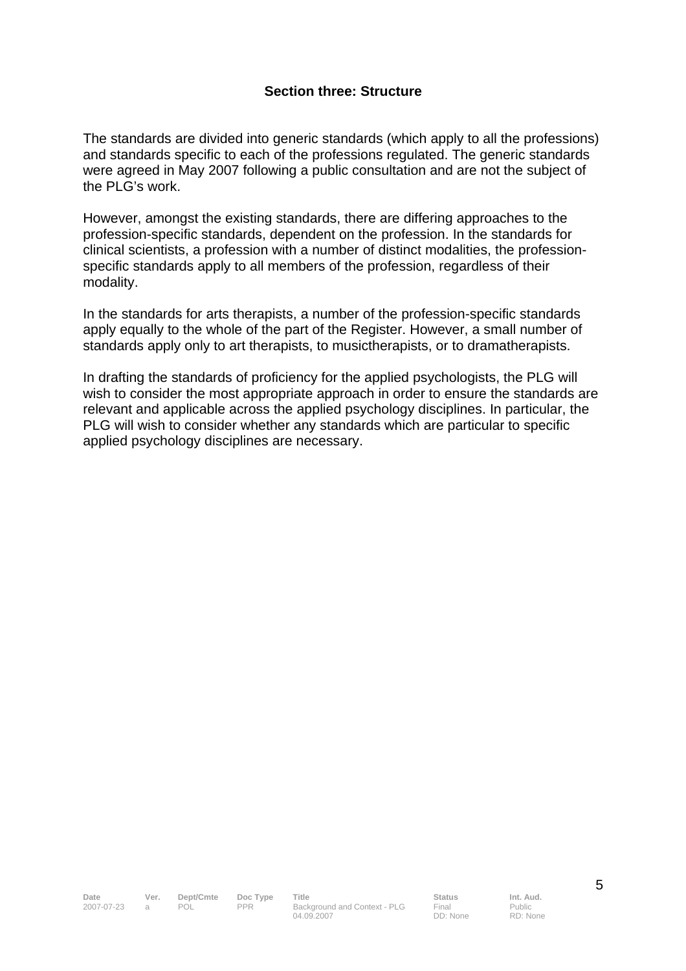#### **Section three: Structure**

The standards are divided into generic standards (which apply to all the professions) and standards specific to each of the professions regulated. The generic standards were agreed in May 2007 following a public consultation and are not the subject of the PLG's work.

However, amongst the existing standards, there are differing approaches to the profession-specific standards, dependent on the profession. In the standards for clinical scientists, a profession with a number of distinct modalities, the professionspecific standards apply to all members of the profession, regardless of their modality.

In the standards for arts therapists, a number of the profession-specific standards apply equally to the whole of the part of the Register. However, a small number of standards apply only to art therapists, to musictherapists, or to dramatherapists.

In drafting the standards of proficiency for the applied psychologists, the PLG will wish to consider the most appropriate approach in order to ensure the standards are relevant and applicable across the applied psychology disciplines. In particular, the PLG will wish to consider whether any standards which are particular to specific applied psychology disciplines are necessary.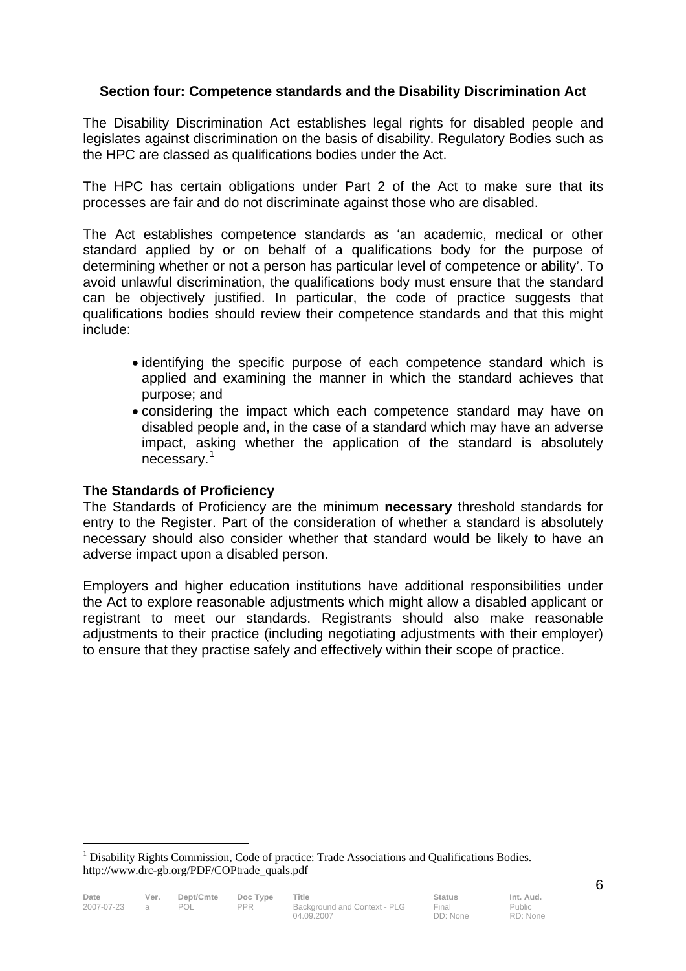# **Section four: Competence standards and the Disability Discrimination Act**

The Disability Discrimination Act establishes legal rights for disabled people and legislates against discrimination on the basis of disability. Regulatory Bodies such as the HPC are classed as qualifications bodies under the Act.

The HPC has certain obligations under Part 2 of the Act to make sure that its processes are fair and do not discriminate against those who are disabled.

The Act establishes competence standards as 'an academic, medical or other standard applied by or on behalf of a qualifications body for the purpose of determining whether or not a person has particular level of competence or ability'. To avoid unlawful discrimination, the qualifications body must ensure that the standard can be objectively justified. In particular, the code of practice suggests that qualifications bodies should review their competence standards and that this might include:

- identifying the specific purpose of each competence standard which is applied and examining the manner in which the standard achieves that purpose; and
- considering the impact which each competence standard may have on disabled people and, in the case of a standard which may have an adverse impact, asking whether the application of the standard is absolutely necessary.<sup>1</sup>

### **The Standards of Proficiency**

 $\overline{a}$ 

The Standards of Proficiency are the minimum **necessary** threshold standards for entry to the Register. Part of the consideration of whether a standard is absolutely necessary should also consider whether that standard would be likely to have an adverse impact upon a disabled person.

Employers and higher education institutions have additional responsibilities under the Act to explore reasonable adjustments which might allow a disabled applicant or registrant to meet our standards. Registrants should also make reasonable adjustments to their practice (including negotiating adjustments with their employer) to ensure that they practise safely and effectively within their scope of practice.

<sup>&</sup>lt;sup>1</sup> Disability Rights Commission, Code of practice: Trade Associations and Qualifications Bodies. http://www.drc-gb.org/PDF/COPtrade\_quals.pdf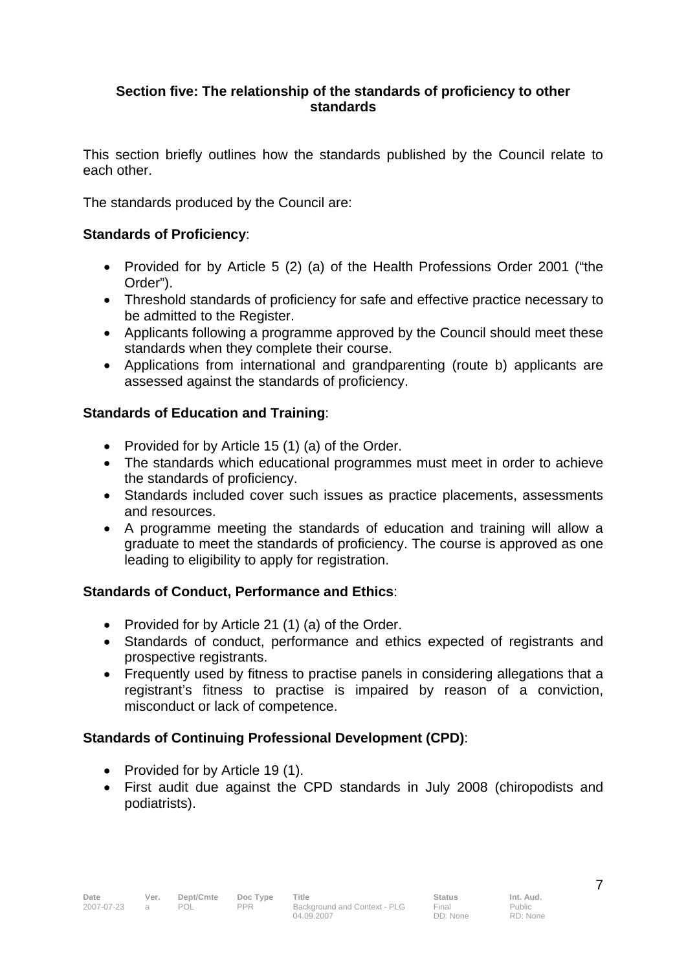### **Section five: The relationship of the standards of proficiency to other standards**

This section briefly outlines how the standards published by the Council relate to each other.

The standards produced by the Council are:

# **Standards of Proficiency**:

- Provided for by Article 5 (2) (a) of the Health Professions Order 2001 ("the Order").
- Threshold standards of proficiency for safe and effective practice necessary to be admitted to the Register.
- Applicants following a programme approved by the Council should meet these standards when they complete their course.
- Applications from international and grandparenting (route b) applicants are assessed against the standards of proficiency.

### **Standards of Education and Training**:

- Provided for by Article 15 (1) (a) of the Order.
- The standards which educational programmes must meet in order to achieve the standards of proficiency.
- Standards included cover such issues as practice placements, assessments and resources.
- A programme meeting the standards of education and training will allow a graduate to meet the standards of proficiency. The course is approved as one leading to eligibility to apply for registration.

# **Standards of Conduct, Performance and Ethics**:

- Provided for by Article 21 (1) (a) of the Order.
- Standards of conduct, performance and ethics expected of registrants and prospective registrants.
- Frequently used by fitness to practise panels in considering allegations that a registrant's fitness to practise is impaired by reason of a conviction, misconduct or lack of competence.

# **Standards of Continuing Professional Development (CPD)**:

- Provided for by Article 19 (1).
- First audit due against the CPD standards in July 2008 (chiropodists and podiatrists).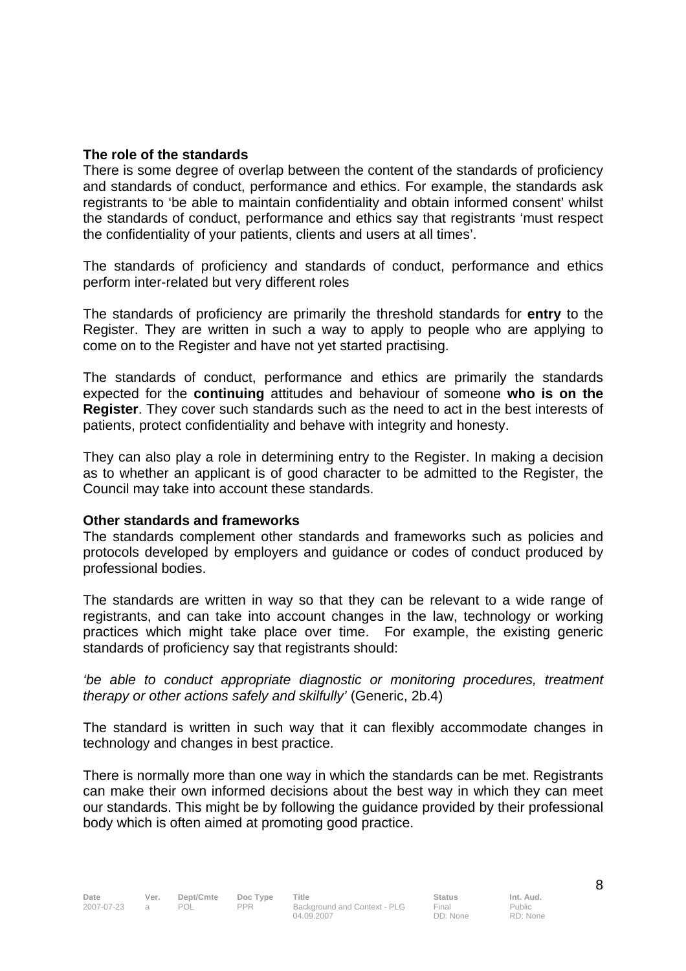#### **The role of the standards**

There is some degree of overlap between the content of the standards of proficiency and standards of conduct, performance and ethics. For example, the standards ask registrants to 'be able to maintain confidentiality and obtain informed consent' whilst the standards of conduct, performance and ethics say that registrants 'must respect the confidentiality of your patients, clients and users at all times'.

The standards of proficiency and standards of conduct, performance and ethics perform inter-related but very different roles

The standards of proficiency are primarily the threshold standards for **entry** to the Register. They are written in such a way to apply to people who are applying to come on to the Register and have not yet started practising.

The standards of conduct, performance and ethics are primarily the standards expected for the **continuing** attitudes and behaviour of someone **who is on the Register**. They cover such standards such as the need to act in the best interests of patients, protect confidentiality and behave with integrity and honesty.

They can also play a role in determining entry to the Register. In making a decision as to whether an applicant is of good character to be admitted to the Register, the Council may take into account these standards.

#### **Other standards and frameworks**

The standards complement other standards and frameworks such as policies and protocols developed by employers and guidance or codes of conduct produced by professional bodies.

The standards are written in way so that they can be relevant to a wide range of registrants, and can take into account changes in the law, technology or working practices which might take place over time. For example, the existing generic standards of proficiency say that registrants should:

*'be able to conduct appropriate diagnostic or monitoring procedures, treatment therapy or other actions safely and skilfully'* (Generic, 2b.4)

The standard is written in such way that it can flexibly accommodate changes in technology and changes in best practice.

There is normally more than one way in which the standards can be met. Registrants can make their own informed decisions about the best way in which they can meet our standards. This might be by following the guidance provided by their professional body which is often aimed at promoting good practice.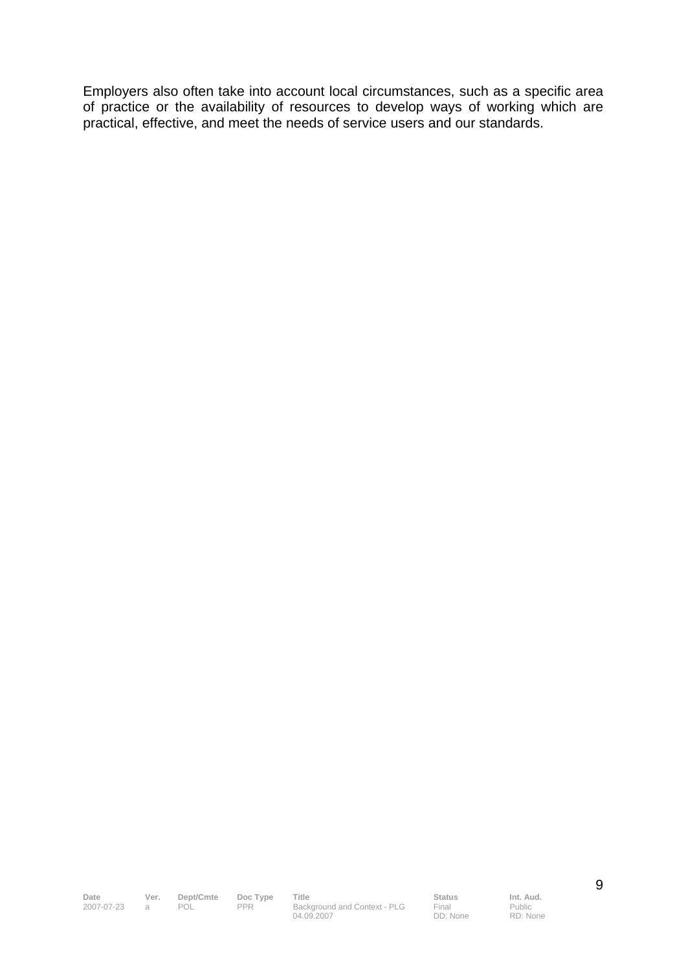Employers also often take into account local circumstances, such as a specific area of practice or the availability of resources to develop ways of working which are practical, effective, and meet the needs of service users and our standards.

**Date Ver. Dept/Cmte Doc Type Title Status Status Int. Aud.**<br>
2007-07-23 a POL PPR Background and Context - PLG Final Public 2007-07-23 a POL PPR Background and Context - PLG 04.09.2007

**Final** DD: None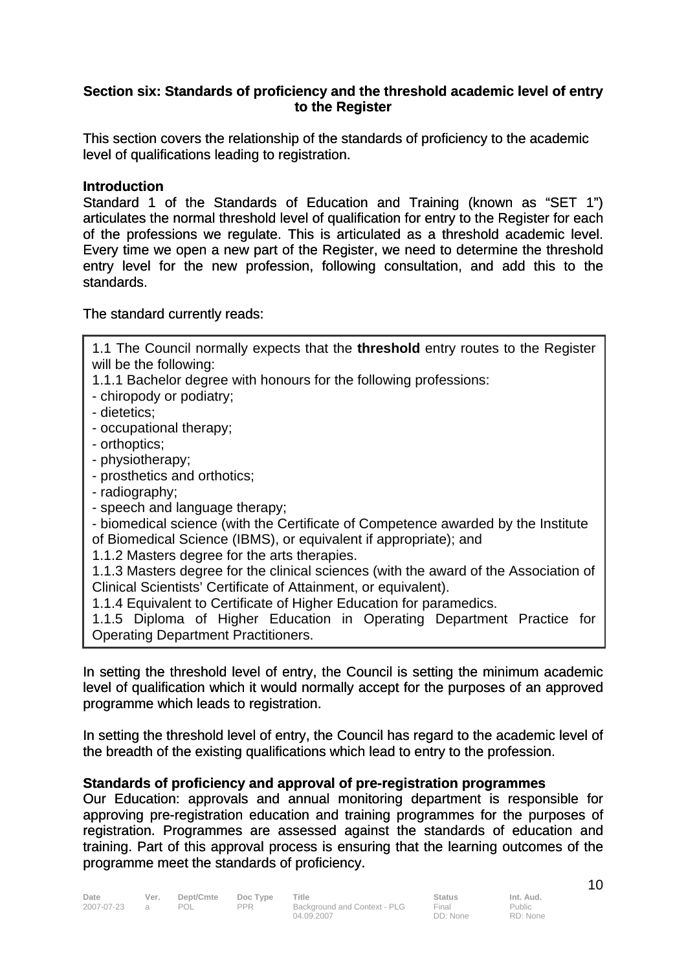### **Section six: Standards of proficiency and the threshold academic level of entry to the Register**

This section covers the relationship of the standards of proficiency to the academic level of qualifications leading to registration.

#### **Introduction**

Standard 1 of the Standards of Education and Training (known as "SET 1") articulates the normal threshold level of qualification for entry to the Register for each of the professions we regulate. This is articulated as a threshold academic level. Every time we open a new part of the Register, we need to determine the threshold entry level for the new profession, following consultation, and add this to the standards.

1.1 The Council normally expects that the **threshold** entry routes to the Register

The standard currently reads:

will be the following:

| 1.1.1 Bachelor degree with honours for the following professions:                    |
|--------------------------------------------------------------------------------------|
| - chiropody or podiatry:                                                             |
| - dietetics;                                                                         |
| - occupational therapy;                                                              |
| - orthoptics;                                                                        |
| - physiotherapy;                                                                     |
| - prosthetics and orthotics;                                                         |
| - radiography;                                                                       |
| - speech and language therapy;                                                       |
| - biomedical science (with the Certificate of Competence awarded by the Institute    |
| of Biomedical Science (IBMS), or equivalent if appropriate); and                     |
| 1.1.2 Masters degree for the arts therapies.                                         |
| 1.1.3 Masters degree for the clinical sciences (with the award of the Association of |
| Clinical Scientists' Certificate of Attainment, or equivalent).                      |
| 1.1.4 Equivalent to Certificate of Higher Education for paramedics.                  |
| A A E Dinlama of Higher Education in Operating Department Drastics for               |

1.1.5 Diploma of Higher Education in Operating Department Practice for Operating Department Practitioners.

In setting the threshold level of entry, the Council is setting the minimum academic level of qualification which it would normally accept for the purposes of an approved programme which leads to registration.

In setting the threshold level of entry, the Council has regard to the academic level of the breadth of the existing qualifications which lead to entry to the profession.

### **Standards of proficiency and approval of pre-registration programmes**

Our Education: approvals and annual monitoring department is responsible for approving pre-registration education and training programmes for the purposes of registration. Programmes are assessed against the standards of education and training. Part of this approval process is ensuring that the learning outcomes of the programme meet the standards of proficiency.

10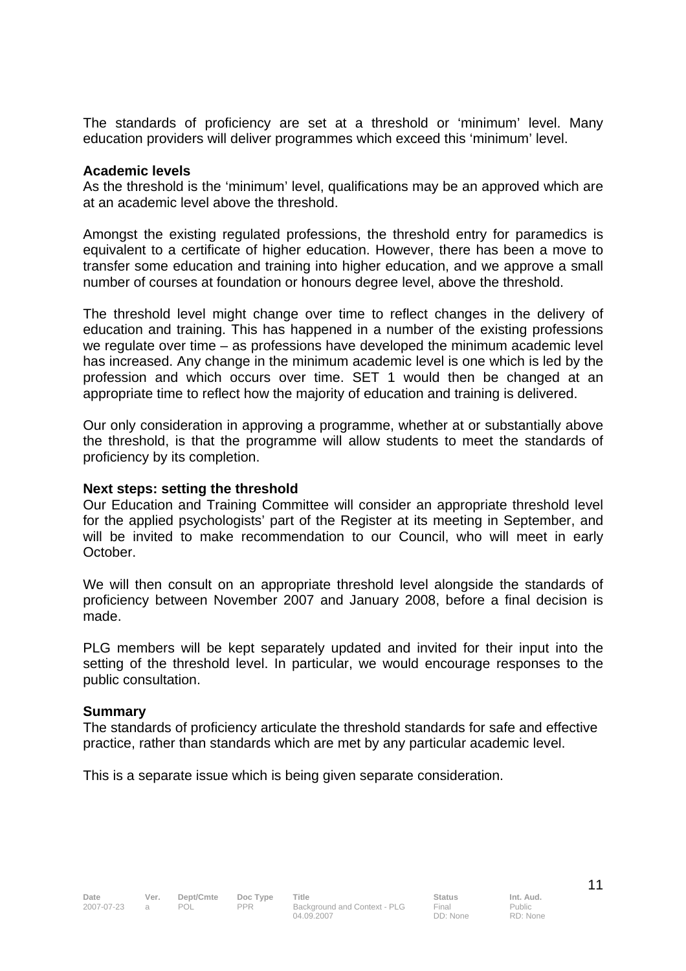The standards of proficiency are set at a threshold or 'minimum' level. Many education providers will deliver programmes which exceed this 'minimum' level.

#### **Academic levels**

As the threshold is the 'minimum' level, qualifications may be an approved which are at an academic level above the threshold.

Amongst the existing regulated professions, the threshold entry for paramedics is equivalent to a certificate of higher education. However, there has been a move to transfer some education and training into higher education, and we approve a small number of courses at foundation or honours degree level, above the threshold.

The threshold level might change over time to reflect changes in the delivery of education and training. This has happened in a number of the existing professions we regulate over time – as professions have developed the minimum academic level has increased. Any change in the minimum academic level is one which is led by the profession and which occurs over time. SET 1 would then be changed at an appropriate time to reflect how the majority of education and training is delivered.

Our only consideration in approving a programme, whether at or substantially above the threshold, is that the programme will allow students to meet the standards of proficiency by its completion.

#### **Next steps: setting the threshold**

Our Education and Training Committee will consider an appropriate threshold level for the applied psychologists' part of the Register at its meeting in September, and will be invited to make recommendation to our Council, who will meet in early October.

We will then consult on an appropriate threshold level alongside the standards of proficiency between November 2007 and January 2008, before a final decision is made.

PLG members will be kept separately updated and invited for their input into the setting of the threshold level. In particular, we would encourage responses to the public consultation.

#### **Summary**

The standards of proficiency articulate the threshold standards for safe and effective practice, rather than standards which are met by any particular academic level.

This is a separate issue which is being given separate consideration.